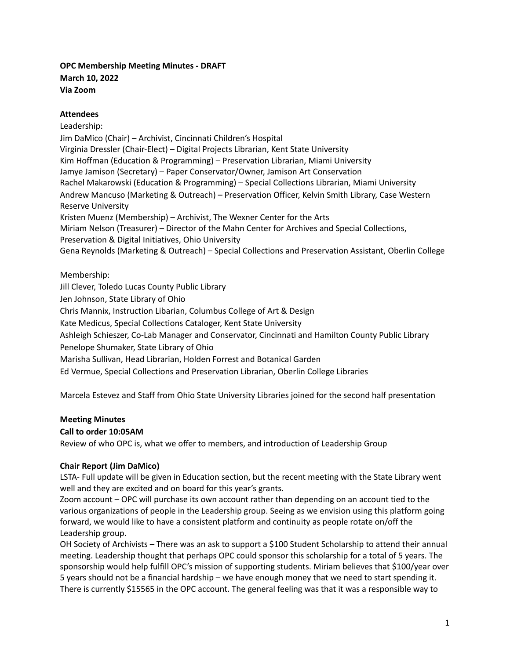## **OPC Membership Meeting Minutes - DRAFT March 10, 2022 Via Zoom**

## **Attendees**

Leadership: Jim DaMico (Chair) – Archivist, Cincinnati Children's Hospital Virginia Dressler (Chair-Elect) – Digital Projects Librarian, Kent State University Kim Hoffman (Education & Programming) – Preservation Librarian, Miami University Jamye Jamison (Secretary) – Paper Conservator/Owner, Jamison Art Conservation Rachel Makarowski (Education & Programming) – Special Collections Librarian, Miami University Andrew Mancuso (Marketing & Outreach) – Preservation Officer, Kelvin Smith Library, Case Western Reserve University Kristen Muenz (Membership) – Archivist, The Wexner Center for the Arts Miriam Nelson (Treasurer) – Director of the Mahn Center for Archives and Special Collections, Preservation & Digital Initiatives, Ohio University Gena Reynolds (Marketing & Outreach) – Special Collections and Preservation Assistant, Oberlin College

## Membership:

Jill Clever, Toledo Lucas County Public Library Jen Johnson, State Library of Ohio Chris Mannix, Instruction Libarian, Columbus College of Art & Design Kate Medicus, Special Collections Cataloger, Kent State University Ashleigh Schieszer, Co-Lab Manager and Conservator, Cincinnati and Hamilton County Public Library Penelope Shumaker, State Library of Ohio Marisha Sullivan, Head Librarian, Holden Forrest and Botanical Garden Ed Vermue, Special Collections and Preservation Librarian, Oberlin College Libraries

Marcela Estevez and Staff from Ohio State University Libraries joined for the second half presentation

# **Meeting Minutes**

### **Call to order 10:05AM**

Review of who OPC is, what we offer to members, and introduction of Leadership Group

### **Chair Report (Jim DaMico)**

LSTA- Full update will be given in Education section, but the recent meeting with the State Library went well and they are excited and on board for this year's grants.

Zoom account – OPC will purchase its own account rather than depending on an account tied to the various organizations of people in the Leadership group. Seeing as we envision using this platform going forward, we would like to have a consistent platform and continuity as people rotate on/off the Leadership group.

OH Society of Archivists – There was an ask to support a \$100 Student Scholarship to attend their annual meeting. Leadership thought that perhaps OPC could sponsor this scholarship for a total of 5 years. The sponsorship would help fulfill OPC's mission of supporting students. Miriam believes that \$100/year over 5 years should not be a financial hardship – we have enough money that we need to start spending it. There is currently \$15565 in the OPC account. The general feeling was that it was a responsible way to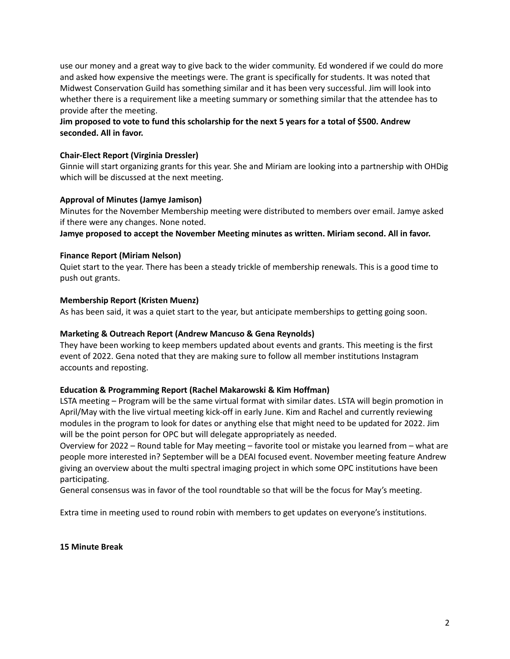use our money and a great way to give back to the wider community. Ed wondered if we could do more and asked how expensive the meetings were. The grant is specifically for students. It was noted that Midwest Conservation Guild has something similar and it has been very successful. Jim will look into whether there is a requirement like a meeting summary or something similar that the attendee has to provide after the meeting.

## Jim proposed to vote to fund this scholarship for the next 5 years for a total of \$500. Andrew **seconded. All in favor.**

### **Chair-Elect Report (Virginia Dressler)**

Ginnie will start organizing grants for this year. She and Miriam are looking into a partnership with OHDig which will be discussed at the next meeting.

#### **Approval of Minutes (Jamye Jamison)**

Minutes for the November Membership meeting were distributed to members over email. Jamye asked if there were any changes. None noted.

**Jamye proposed to accept the November Meeting minutes as written. Miriam second. All in favor.**

#### **Finance Report (Miriam Nelson)**

Quiet start to the year. There has been a steady trickle of membership renewals. This is a good time to push out grants.

#### **Membership Report (Kristen Muenz)**

As has been said, it was a quiet start to the year, but anticipate memberships to getting going soon.

### **Marketing & Outreach Report (Andrew Mancuso & Gena Reynolds)**

They have been working to keep members updated about events and grants. This meeting is the first event of 2022. Gena noted that they are making sure to follow all member institutions Instagram accounts and reposting.

### **Education & Programming Report (Rachel Makarowski & Kim Hoffman)**

LSTA meeting – Program will be the same virtual format with similar dates. LSTA will begin promotion in April/May with the live virtual meeting kick-off in early June. Kim and Rachel and currently reviewing modules in the program to look for dates or anything else that might need to be updated for 2022. Jim will be the point person for OPC but will delegate appropriately as needed.

Overview for 2022 – Round table for May meeting – favorite tool or mistake you learned from – what are people more interested in? September will be a DEAI focused event. November meeting feature Andrew giving an overview about the multi spectral imaging project in which some OPC institutions have been participating.

General consensus was in favor of the tool roundtable so that will be the focus for May's meeting.

Extra time in meeting used to round robin with members to get updates on everyone's institutions.

**15 Minute Break**